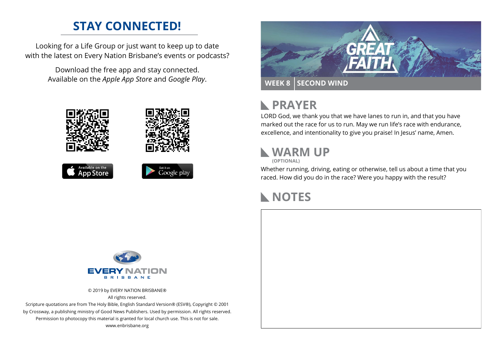#### **STAY CONNECTED!**

Looking for a Life Group or just want to keep up to date with the latest on Every Nation Brisbane's events or podcasts?

> Download the free app and stay connected. Available on the *Apple App Store* and *Google Play*.





### **RAYER**

LORD God, we thank you that we have lanes to run in, and that you have marked out the race for us to run. May we run life's race with endurance, excellence, and intentionality to give you praise! In Jesus' name, Amen.

### **WARM UP**

**(OPTIONAL)**

Whether running, driving, eating or otherwise, tell us about a time that you raced. How did you do in the race? Were you happy with the result?

#### **NOTES**



© 2019 by EVERY NATION BRISBANE® All rights reserved.

Scripture quotations are from The Holy Bible, English Standard Version® (ESV®), Copyright © 2001 by Crossway, a publishing ministry of Good News Publishers. Used by permission. All rights reserved. Permission to photocopy this material is granted for local church use. This is not for sale. www.enbrisbane.org